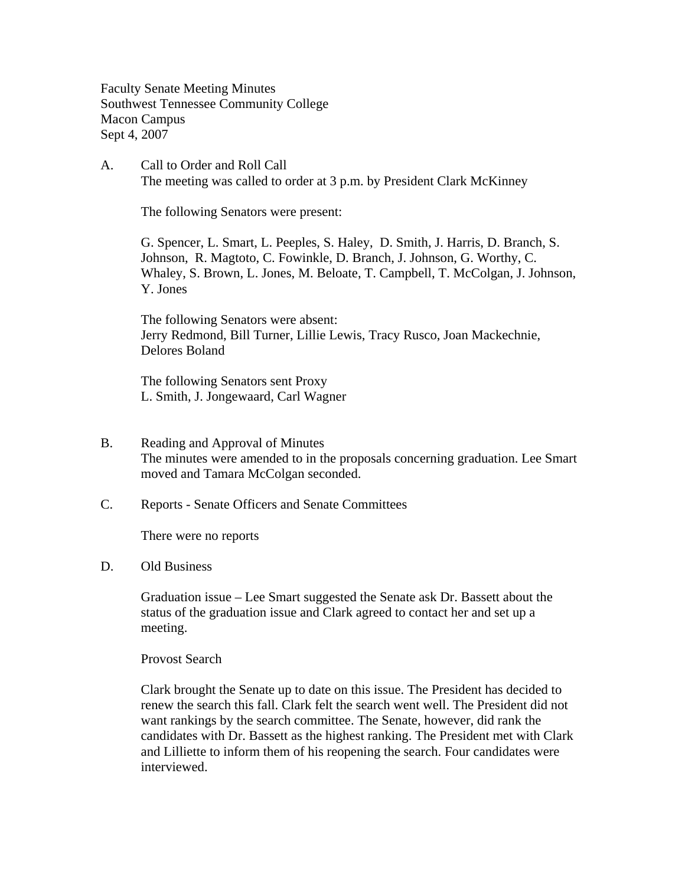Faculty Senate Meeting Minutes Southwest Tennessee Community College Macon Campus Sept 4, 2007

A. Call to Order and Roll Call The meeting was called to order at 3 p.m. by President Clark McKinney

The following Senators were present:

G. Spencer, L. Smart, L. Peeples, S. Haley, D. Smith, J. Harris, D. Branch, S. Johnson, R. Magtoto, C. Fowinkle, D. Branch, J. Johnson, G. Worthy, C. Whaley, S. Brown, L. Jones, M. Beloate, T. Campbell, T. McColgan, J. Johnson, Y. Jones

The following Senators were absent: Jerry Redmond, Bill Turner, Lillie Lewis, Tracy Rusco, Joan Mackechnie, Delores Boland

The following Senators sent Proxy L. Smith, J. Jongewaard, Carl Wagner

- B. Reading and Approval of Minutes The minutes were amended to in the proposals concerning graduation. Lee Smart moved and Tamara McColgan seconded.
- C. Reports Senate Officers and Senate Committees

There were no reports

## D. Old Business

Graduation issue – Lee Smart suggested the Senate ask Dr. Bassett about the status of the graduation issue and Clark agreed to contact her and set up a meeting.

Provost Search

Clark brought the Senate up to date on this issue. The President has decided to renew the search this fall. Clark felt the search went well. The President did not want rankings by the search committee. The Senate, however, did rank the candidates with Dr. Bassett as the highest ranking. The President met with Clark and Lilliette to inform them of his reopening the search. Four candidates were interviewed.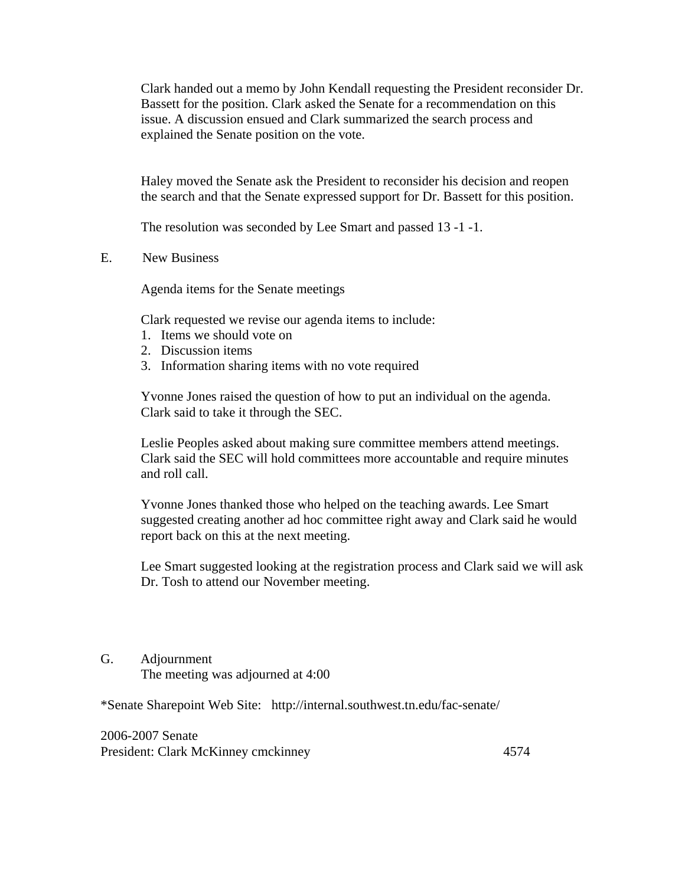Clark handed out a memo by John Kendall requesting the President reconsider Dr. Bassett for the position. Clark asked the Senate for a recommendation on this issue. A discussion ensued and Clark summarized the search process and explained the Senate position on the vote.

Haley moved the Senate ask the President to reconsider his decision and reopen the search and that the Senate expressed support for Dr. Bassett for this position.

The resolution was seconded by Lee Smart and passed 13 -1 -1.

E. New Business

Agenda items for the Senate meetings

Clark requested we revise our agenda items to include:

- 1. Items we should vote on
- 2. Discussion items
- 3. Information sharing items with no vote required

Yvonne Jones raised the question of how to put an individual on the agenda. Clark said to take it through the SEC.

Leslie Peoples asked about making sure committee members attend meetings. Clark said the SEC will hold committees more accountable and require minutes and roll call.

Yvonne Jones thanked those who helped on the teaching awards. Lee Smart suggested creating another ad hoc committee right away and Clark said he would report back on this at the next meeting.

Lee Smart suggested looking at the registration process and Clark said we will ask Dr. Tosh to attend our November meeting.

## G. Adjournment

The meeting was adjourned at 4:00

\*Senate Sharepoint Web Site: http://internal.southwest.tn.edu/fac-senate/

2006-2007 Senate President: Clark McKinney cmckinney 4574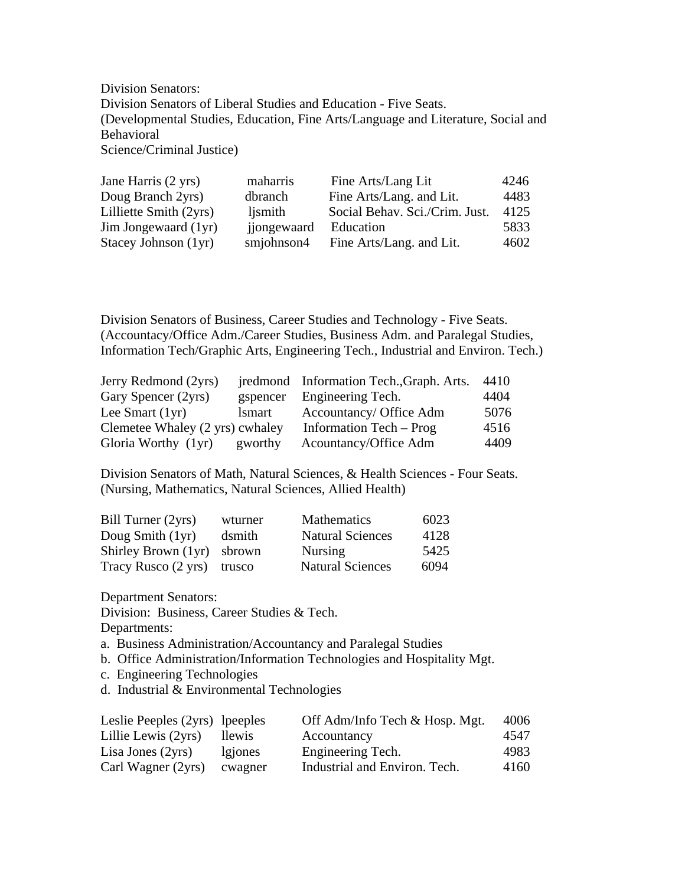Division Senators: Division Senators of Liberal Studies and Education - Five Seats. (Developmental Studies, Education, Fine Arts/Language and Literature, Social and Behavioral Science/Criminal Justice)

| Jane Harris (2 yrs)    | maharris    | Fine Arts/Lang Lit             | 4246 |
|------------------------|-------------|--------------------------------|------|
| Doug Branch 2yrs)      | dbranch     | Fine Arts/Lang. and Lit.       | 4483 |
| Lilliette Smith (2yrs) | ljsmith     | Social Behav. Sci./Crim. Just. | 4125 |
| Jim Jongewaard (1yr)   | jjongewaard | Education                      | 5833 |
| Stacey Johnson (1yr)   | smjohnson4  | Fine Arts/Lang. and Lit.       | 4602 |

Division Senators of Business, Career Studies and Technology - Five Seats. (Accountacy/Office Adm./Career Studies, Business Adm. and Paralegal Studies, Information Tech/Graphic Arts, Engineering Tech., Industrial and Environ. Tech.)

| Jerry Redmond (2yrs)            |               | jredmond Information Tech., Graph. Arts. | 4410 |
|---------------------------------|---------------|------------------------------------------|------|
| Gary Spencer (2yrs)             |               | gspencer Engineering Tech.               | 4404 |
| Lee Smart $(1yr)$               | <i>lsmart</i> | Accountancy/ Office Adm                  | 5076 |
| Clemetee Whaley (2 yrs) cwhaley |               | Information Tech – Prog                  | 4516 |
| Gloria Worthy (1yr)             | gworthy       | Acountancy/Office Adm                    | 4409 |

Division Senators of Math, Natural Sciences, & Health Sciences - Four Seats. (Nursing, Mathematics, Natural Sciences, Allied Health)

| Bill Turner (2yrs)         | wturner | <b>Mathematics</b>      | 6023 |
|----------------------------|---------|-------------------------|------|
| Doug Smith (1yr)           | dsmith  | <b>Natural Sciences</b> | 4128 |
| Shirley Brown (1yr)        | sbrown  | Nursing                 | 5425 |
| Tracy Rusco (2 yrs) trusco |         | <b>Natural Sciences</b> | 6094 |

Department Senators:

Division: Business, Career Studies & Tech.

Departments:

- a. Business Administration/Accountancy and Paralegal Studies
- b. Office Administration/Information Technologies and Hospitality Mgt.
- c. Engineering Technologies
- d. Industrial & Environmental Technologies

| Leslie Peeples (2yrs) lpeeples |         | Off Adm/Info Tech & Hosp. Mgt. | 4006 |
|--------------------------------|---------|--------------------------------|------|
| Lillie Lewis (2yrs)            | llewis. | Accountancy                    | 4547 |
| Lisa Jones $(2yrs)$            | lgiones | Engineering Tech.              | 4983 |
| Carl Wagner (2yrs)             | cwagner | Industrial and Environ. Tech.  | 4160 |